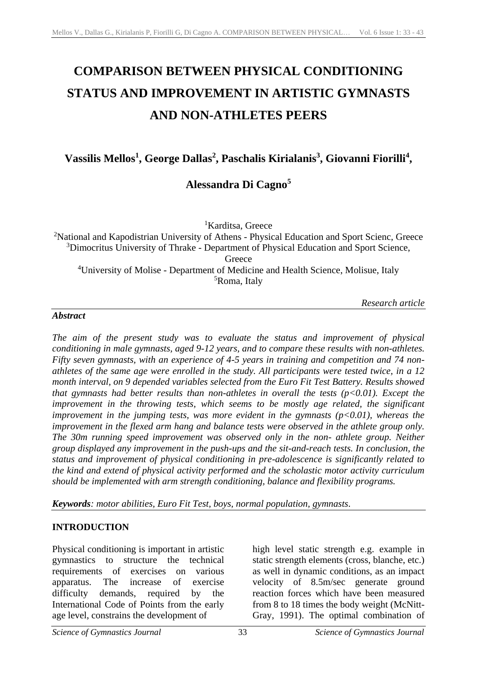# **COMPARISON BETWEEN PHYSICAL CONDITIONING STATUS AND IMPROVEMENT IN ARTISTIC GYMNASTS AND NON-ATHLETES PEERS**

**Vassilis Mellos<sup>1</sup> , George Dallas<sup>2</sup> , Paschalis Kirialanis<sup>3</sup> , Giovanni Fiorilli<sup>4</sup> ,**

# **Alessandra Di Cagno<sup>5</sup>**

<sup>1</sup>Karditsa, Greece

<sup>2</sup>National and Kapodistrian University of Athens - Physical Education and Sport Scienc, Greece <sup>3</sup>Dimocritus University of Thrake - Department of Physical Education and Sport Science, **Greece** <sup>4</sup>University of Molise - Department of Medicine and Health Science, Molisue, Italy <sup>5</sup>Roma, Italy

*Research article*

#### *Abstract*

*The aim of the present study was to evaluate the status and improvement of physical conditioning in male gymnasts, aged 9-12 years, and to compare these results with non-athletes. Fifty seven gymnasts, with an experience of 4-5 years in training and competition and 74 nonathletes of the same age were enrolled in the study. All participants were tested twice, in a 12 month interval, on 9 depended variables selected from the Euro Fit Test Battery. Results showed that gymnasts had better results than non-athletes in overall the tests (p<0.01). Except the improvement in the throwing tests, which seems to be mostly age related, the significant improvement in the jumping tests, was more evident in the gymnasts*  $(p<0.01)$ *, whereas the improvement in the flexed arm hang and balance tests were observed in the athlete group only. The 30m running speed improvement was observed only in the non- athlete group. Neither group displayed any improvement in the push-ups and the sit-and-reach tests. In conclusion, the status and improvement of physical conditioning in pre-adolescence is significantly related to the kind and extend of physical activity performed and the scholastic motor activity curriculum should be implemented with arm strength conditioning, balance and flexibility programs.*

*Keywords: motor abilities, Euro Fit Test, boys, normal population, gymnasts.*

#### **INTRODUCTION**

Physical conditioning is important in artistic gymnastics to structure the technical requirements of exercises on various apparatus. The increase of exercise difficulty demands, required by the International Code of Points from the early age level, constrains the development of

high level static strength e.g. example in static strength elements (cross, blanche, etc.) as well in dynamic conditions, as an impact velocity of 8.5m/sec generate ground reaction forces which have been measured from 8 to 18 times the body weight (McNitt-Gray, 1991). The optimal combination of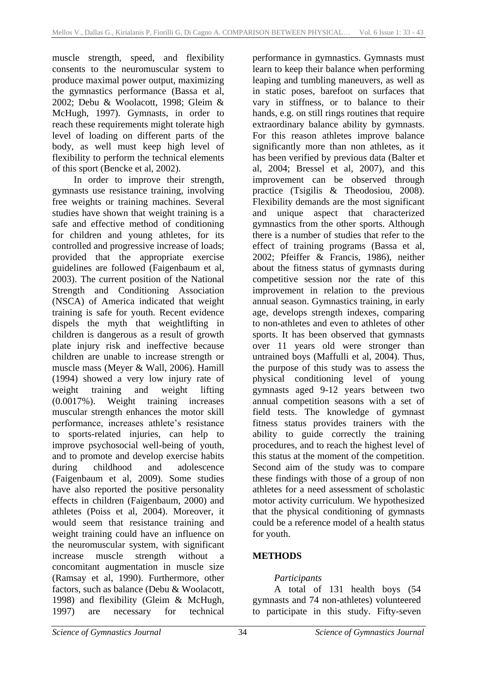muscle strength, speed, and flexibility consents to the neuromuscular system to produce maximal power output, maximizing the gymnastics performance (Bassa et al, 2002; Debu & Woolacott, 1998; Gleim & McHugh, 1997). Gymnasts, in order to reach these requirements might tolerate high level of loading on different parts of the body, as well must keep high level of flexibility to perform the technical elements of this sport (Bencke et al, 2002).

In order to improve their strength, gymnasts use resistance training, involving free weights or training machines. Several studies have shown that weight training is a safe and effective method of conditioning for children and young athletes, for its controlled and progressive increase of loads; provided that the appropriate exercise guidelines are followed (Faigenbaum et al, 2003). The current position of the National Strength and Conditioning Association (NSCA) of America indicated that weight training is safe for youth. Recent evidence dispels the myth that weightlifting in children is dangerous as a result of growth plate injury risk and ineffective because children are unable to increase strength or muscle mass (Meyer & Wall, 2006). Hamill (1994) showed a very low injury rate of weight training and weight lifting (0.0017%). Weight training increases muscular strength enhances the motor skill performance, increases athlete's resistance to sports-related injuries, can help to improve psychosocial well-being of youth, and to promote and develop exercise habits during childhood and adolescence (Faigenbaum et al, 2009). Some studies have also reported the positive personality effects in children (Faigenbaum, 2000) and athletes (Poiss et al, 2004). Moreover, it would seem that resistance training and weight training could have an influence on the neuromuscular system, with significant increase muscle strength without a concomitant augmentation in muscle size (Ramsay et al, 1990). Furthermore, other factors, such as balance (Debu & Woolacott, 1998) and flexibility (Gleim & McHugh, 1997) are necessary for technical

performance in gymnastics. Gymnasts must learn to keep their balance when performing leaping and tumbling maneuvers, as well as in static poses, barefoot on surfaces that vary in stiffness, or to balance to their hands, e.g. on still rings routines that require extraordinary balance ability by gymnasts. For this reason athletes improve balance significantly more than non athletes, as it has been verified by previous data (Balter et al, 2004; Bressel et al, 2007), and this improvement can be observed through practice (Tsigilis & Theodosiou, 2008). Flexibility demands are the most significant and unique aspect that characterized gymnastics from the other sports. Although there is a number of studies that refer to the effect of training programs (Bassa et al, 2002; Pfeiffer & Francis, 1986), neither about the fitness status of gymnasts during competitive session nor the rate of this improvement in relation to the previous annual season. Gymnastics training, in early age, develops strength indexes, comparing to non-athletes and even to athletes of other sports. It has been observed that gymnasts over 11 years old were stronger than untrained boys (Maffulli et al, 2004). Thus, the purpose of this study was to assess the physical conditioning level of young gymnasts aged 9-12 years between two annual competition seasons with a set of field tests. The knowledge of gymnast fitness status provides trainers with the ability to guide correctly the training procedures, and to reach the highest level of this status at the moment of the competition. Second aim of the study was to compare these findings with those of a group of non athletes for a need assessment of scholastic motor activity curriculum. We hypothesized that the physical conditioning of gymnasts could be a reference model of a health status for youth.

# **METHODS**

#### *Participants*

A total of 131 health boys (54 gymnasts and 74 non-athletes) volunteered to participate in this study. Fifty-seven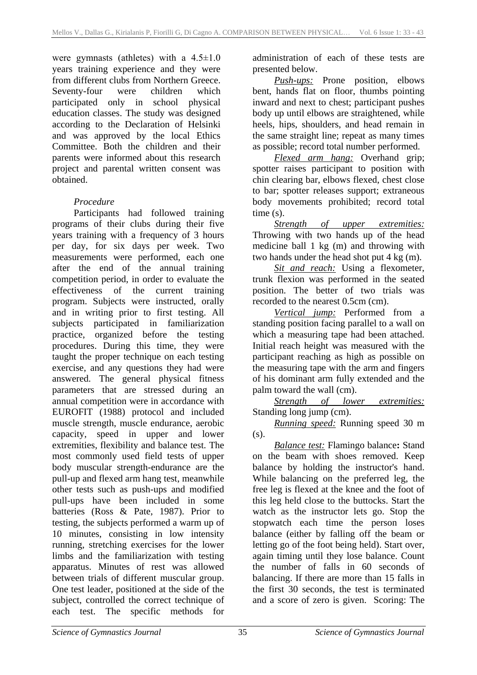were gymnasts (athletes) with a  $4.5 \pm 1.0$ years training experience and they were from different clubs from Northern Greece. Seventy-four were children which participated only in school physical education classes. The study was designed according to the Declaration of Helsinki and was approved by the local Ethics Committee. Both the children and their parents were informed about this research project and parental written consent was obtained.

# *Procedure*

Participants had followed training programs of their clubs during their five years training with a frequency of 3 hours per day, for six days per week. Two measurements were performed, each one after the end of the annual training competition period, in order to evaluate the effectiveness of the current training program. Subjects were instructed, orally and in writing prior to first testing. All subjects participated in familiarization practice, organized before the testing procedures. During this time, they were taught the proper technique on each testing exercise, and any questions they had were answered. The general physical fitness parameters that are stressed during an annual competition were in accordance with EUROFIT (1988) protocol and included muscle strength, muscle endurance, aerobic capacity, speed in upper and lower extremities, flexibility and balance test. The most commonly used field tests of upper body muscular strength-endurance are the pull-up and flexed arm hang test, meanwhile other tests such as push-ups and modified pull-ups have been included in some batteries (Ross & Pate, 1987). Prior to testing, the subjects performed a warm up of 10 minutes, consisting in low intensity running, stretching exercises for the lower limbs and the familiarization with testing apparatus. Minutes of rest was allowed between trials of different muscular group. One test leader, positioned at the side of the subject, controlled the correct technique of each test. The specific methods for

administration of each of these tests are presented below.

*Push-ups:* Prone position, elbows bent, hands flat on floor, thumbs pointing inward and next to chest; participant pushes body up until elbows are straightened, while heels, hips, shoulders, and head remain in the same straight line; repeat as many times as possible; record total number performed.

*Flexed arm hang:* Overhand grip; spotter raises participant to position with chin clearing bar, elbows flexed, chest close to bar; spotter releases support; extraneous body movements prohibited; record total time (s).

*Strength of upper extremities:* Throwing with two hands up of the head medicine ball 1 kg (m) and throwing with two hands under the head shot put 4 kg (m).

*Sit and reach:* Using a flexometer, trunk flexion was performed in the seated position. The better of two trials was recorded to the nearest 0.5cm (cm).

*Vertical jump:* Performed from a standing position facing parallel to a wall on which a measuring tape had been attached. Initial reach height was measured with the participant reaching as high as possible on the measuring tape with the arm and fingers of his dominant arm fully extended and the palm toward the wall (cm).

*Strength of lower extremities:* Standing long jump (cm).

*Running speed:* Running speed 30 m (s).

*Balance test:* Flamingo balance**:** Stand on the beam with shoes removed. Keep balance by holding the instructor's hand. While balancing on the preferred leg, the free leg is flexed at the knee and the foot of this leg held close to the buttocks. Start the watch as the instructor lets go. Stop the stopwatch each time the person loses balance (either by falling off the beam or letting go of the foot being held). Start over, again timing until they lose balance. Count the number of falls in 60 seconds of balancing. If there are more than 15 falls in the first 30 seconds, the test is terminated and a score of zero is given. Scoring: The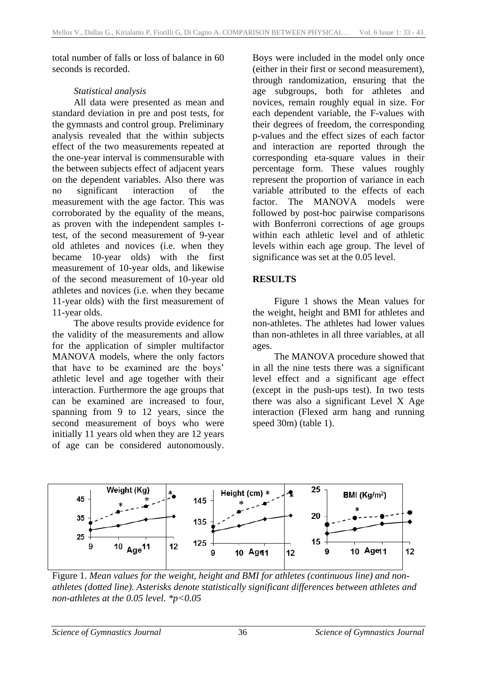total number of falls or loss of balance in 60 seconds is recorded.

#### *Statistical analysis*

All data were presented as mean and standard deviation in pre and post tests, for the gymnasts and control group. Preliminary analysis revealed that the within subjects effect of the two measurements repeated at the one-year interval is commensurable with the between subjects effect of adjacent years on the dependent variables. Also there was no significant interaction of the measurement with the age factor. This was corroborated by the equality of the means, as proven with the independent samples ttest, of the second measurement of 9-year old athletes and novices (i.e. when they became 10-year olds) with the first measurement of 10-year olds, and likewise of the second measurement of 10-year old athletes and novices (i.e. when they became 11-year olds) with the first measurement of 11-year olds.

The above results provide evidence for the validity of the measurements and allow for the application of simpler multifactor MANOVA models, where the only factors that have to be examined are the boys' athletic level and age together with their interaction. Furthermore the age groups that can be examined are increased to four, spanning from 9 to 12 years, since the second measurement of boys who were initially 11 years old when they are 12 years of age can be considered autonomously.

Boys were included in the model only once (either in their first or second measurement), through randomization, ensuring that the age subgroups, both for athletes and novices, remain roughly equal in size. For each dependent variable, the F-values with their degrees of freedom, the corresponding p-values and the effect sizes of each factor and interaction are reported through the corresponding eta-square values in their percentage form. These values roughly represent the proportion of variance in each variable attributed to the effects of each factor. The MANOVA models were followed by post-hoc pairwise comparisons with Bonferroni corrections of age groups within each athletic level and of athletic levels within each age group. The level of significance was set at the 0.05 level.

# **RESULTS**

Figure 1 shows the Mean values for the weight, height and BMI for athletes and non-athletes. The athletes had lower values than non-athletes in all three variables, at all ages.

The MANOVA procedure showed that in all the nine tests there was a significant level effect and a significant age effect (except in the push-ups test). In two tests there was also a significant Level X Age interaction (Flexed arm hang and running speed 30m) (table 1).



Figure 1. *Mean values for the weight, height and BMI for athletes (continuous line) and nonathletes (dotted line). Asterisks denote statistically significant differences between athletes and non-athletes at the 0.05 level. \*p<0.05*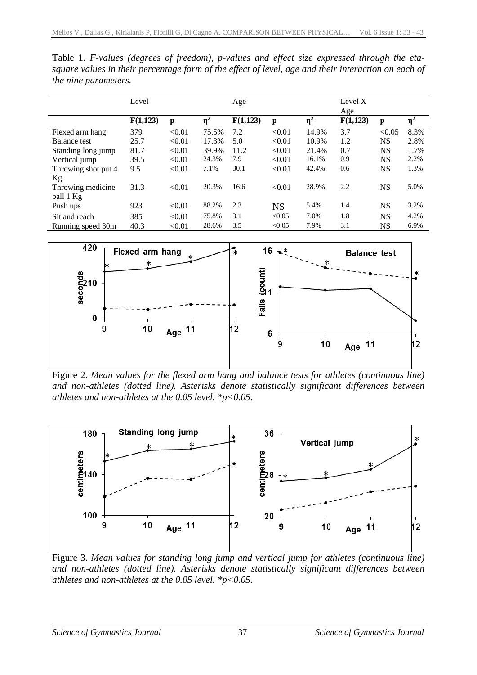| Table 1. F-values (degrees of freedom), p-values and effect size expressed through the eta-         |  |
|-----------------------------------------------------------------------------------------------------|--|
| square values in their percentage form of the effect of level, age and their interaction on each of |  |
| <i>the nine parameters.</i>                                                                         |  |

|                     | Level    |        |          | Age      |           |          | Level X  |           |          |
|---------------------|----------|--------|----------|----------|-----------|----------|----------|-----------|----------|
|                     |          |        |          |          |           |          | Age      |           |          |
|                     | F(1,123) | p      | $\eta^2$ | F(1,123) | p         | $\eta^2$ | F(1,123) | p         | $\eta^2$ |
| Flexed arm hang     | 379      | < 0.01 | 75.5%    | 7.2      | < 0.01    | 14.9%    | 3.7      | < 0.05    | 8.3%     |
| Balance test        | 25.7     | < 0.01 | 17.3%    | 5.0      | < 0.01    | 10.9%    | 1.2      | <b>NS</b> | 2.8%     |
| Standing long jump  | 81.7     | < 0.01 | 39.9%    | 11.2     | < 0.01    | 21.4%    | 0.7      | <b>NS</b> | 1.7%     |
| Vertical jump       | 39.5     | < 0.01 | 24.3%    | 7.9      | < 0.01    | 16.1%    | 0.9      | <b>NS</b> | 2.2%     |
| Throwing shot put 4 | 9.5      | < 0.01 | 7.1%     | 30.1     | < 0.01    | 42.4%    | 0.6      | <b>NS</b> | 1.3%     |
| Кg                  |          |        |          |          |           |          |          |           |          |
| Throwing medicine   | 31.3     | < 0.01 | 20.3%    | 16.6     | < 0.01    | 28.9%    | 2.2      | <b>NS</b> | 5.0%     |
| ball 1 Kg           |          |        |          |          |           |          |          |           |          |
| Push ups            | 923      | < 0.01 | 88.2%    | 2.3      | <b>NS</b> | 5.4%     | 1.4      | <b>NS</b> | 3.2%     |
| Sit and reach       | 385      | < 0.01 | 75.8%    | 3.1      | < 0.05    | 7.0%     | 1.8      | <b>NS</b> | 4.2%     |
| Running speed 30m   | 40.3     | < 0.01 | 28.6%    | 3.5      | < 0.05    | 7.9%     | 3.1      | NS        | 6.9%     |



Figure 2. *Mean values for the flexed arm hang and balance tests for athletes (continuous line) and non-athletes (dotted line). Asterisks denote statistically significant differences between athletes and non-athletes at the 0.05 level. \*p<0.05.*



Figure 3. *Mean values for standing long jump and vertical jump for athletes (continuous line) and non-athletes (dotted line). Asterisks denote statistically significant differences between athletes and non-athletes at the 0.05 level. \*p<0.05.*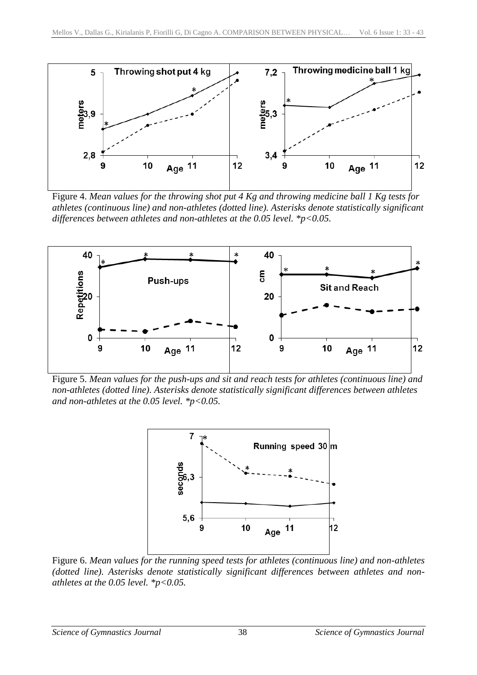

Figure 4. *Mean values for the throwing shot put 4 Kg and throwing medicine ball 1 Kg tests for athletes (continuous line) and non-athletes (dotted line). Asterisks denote statistically significant differences between athletes and non-athletes at the 0.05 level. \*p<0.05.*



Figure 5. *Mean values for the push-ups and sit and reach tests for athletes (continuous line) and non-athletes (dotted line). Asterisks denote statistically significant differences between athletes and non-athletes at the 0.05 level. \*p<0.05.*



Figure 6. *Mean values for the running speed tests for athletes (continuous line) and non-athletes (dotted line). Asterisks denote statistically significant differences between athletes and nonathletes at the 0.05 level. \*p<0.05.*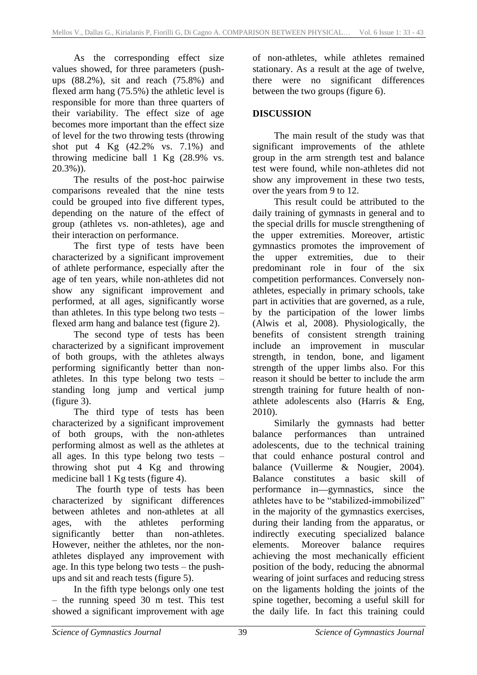As the corresponding effect size values showed, for three parameters (pushups (88.2%), sit and reach (75.8%) and flexed arm hang (75.5%) the athletic level is responsible for more than three quarters of their variability. The effect size of age becomes more important than the effect size of level for the two throwing tests (throwing shot put 4 Kg (42.2% vs. 7.1%) and throwing medicine ball 1 Kg (28.9% vs. 20.3%)).

The results of the post-hoc pairwise comparisons revealed that the nine tests could be grouped into five different types, depending on the nature of the effect of group (athletes vs. non-athletes), age and their interaction on performance.

The first type of tests have been characterized by a significant improvement of athlete performance, especially after the age of ten years, while non-athletes did not show any significant improvement and performed, at all ages, significantly worse than athletes. In this type belong two tests – flexed arm hang and balance test (figure 2).

The second type of tests has been characterized by a significant improvement of both groups, with the athletes always performing significantly better than nonathletes. In this type belong two tests – standing long jump and vertical jump (figure 3).

The third type of tests has been characterized by a significant improvement of both groups, with the non-athletes performing almost as well as the athletes at all ages. In this type belong two tests – throwing shot put 4 Kg and throwing medicine ball 1 Kg tests (figure 4).

The fourth type of tests has been characterized by significant differences between athletes and non-athletes at all ages, with the athletes performing significantly better than non-athletes. However, neither the athletes, nor the nonathletes displayed any improvement with age. In this type belong two tests – the pushups and sit and reach tests (figure 5).

In the fifth type belongs only one test – the running speed 30 m test. This test showed a significant improvement with age of non-athletes, while athletes remained stationary. As a result at the age of twelve, there were no significant differences between the two groups (figure 6).

# **DISCUSSION**

The main result of the study was that significant improvements of the athlete group in the arm strength test and balance test were found, while non-athletes did not show any improvement in these two tests, over the years from 9 to 12.

This result could be attributed to the daily training of gymnasts in general and to the special drills for muscle strengthening of the upper extremities. Moreover, artistic gymnastics promotes the improvement of the upper extremities, due to their predominant role in four of the six competition performances. Conversely nonathletes, especially in primary schools, take part in activities that are governed, as a rule, by the participation of the lower limbs (Alwis et al, 2008). Physiologically, the benefits of consistent strength training include an improvement in muscular strength, in tendon, bone, and ligament strength of the upper limbs also. For this reason it should be better to include the arm strength training for future health of nonathlete adolescents also (Harris & Eng, 2010).

Similarly the gymnasts had better balance performances than untrained adolescents, due to the technical training that could enhance postural control and balance (Vuillerme & Nougier, 2004). Balance constitutes a basic skill of performance in-gymnastics, since the athletes have to be "stabilized-immobilized" in the majority of the gymnastics exercises, during their landing from the apparatus, or indirectly executing specialized balance elements. Moreover balance requires achieving the most mechanically efficient position of the body, reducing the abnormal wearing of joint surfaces and reducing stress on the ligaments holding the joints of the spine together, becoming a useful skill for the daily life. In fact this training could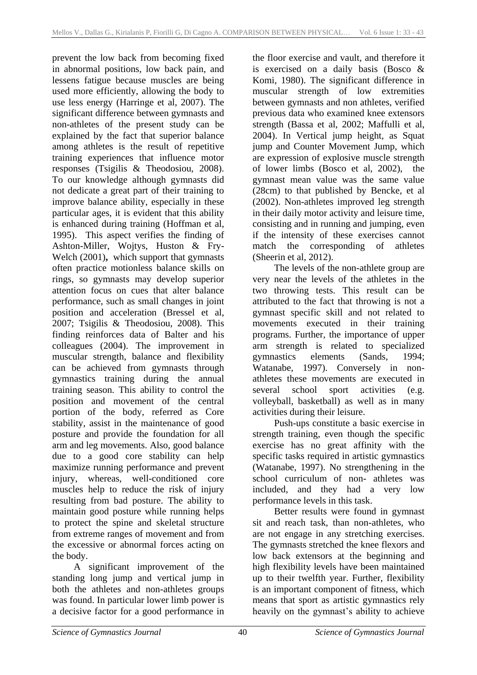prevent the low back from becoming fixed in abnormal positions, low back pain, and lessens fatigue because muscles are being used more efficiently, allowing the body to use less energy (Harringe et al, 2007). The significant difference between gymnasts and non-athletes of the present study can be explained by the fact that superior balance among athletes is the result of repetitive training experiences that influence motor responses (Tsigilis & Theodosiou, 2008). To our knowledge although gymnasts did not dedicate a great part of their training to improve balance ability, especially in these particular ages, it is evident that this ability is enhanced during training (Hoffman et al, 1995). This aspect verifies the finding of Ashton-Miller, Wojtys, Huston & Fry-Welch (2001)**,** which support that gymnasts often practice motionless balance skills on rings, so gymnasts may develop superior attention focus on cues that alter balance performance, such as small changes in joint position and acceleration (Bressel et al, 2007; Tsigilis & Theodosiou, 2008). This finding reinforces data of Balter and his colleagues (2004). The improvement in muscular strength, balance and flexibility can be achieved from gymnasts through gymnastics training during the annual training season. This ability to control the position and movement of the central portion of the body, referred as Core stability, assist in the maintenance of good posture and provide the foundation for all arm and leg movements. Also, good balance due to a good core stability can help maximize running performance and prevent injury, whereas, well-conditioned core muscles help to reduce the risk of injury resulting from bad posture. The ability to maintain good posture while running helps to protect the spine and skeletal structure from extreme ranges of movement and from the excessive or abnormal forces acting on the body.

A significant improvement of the standing long jump and vertical jump in both the athletes and non-athletes groups was found. In particular lower limb power is a decisive factor for a good performance in

the floor exercise and vault, and therefore it is exercised on a daily basis (Bosco & Komi, 1980). The significant difference in muscular strength of low extremities between gymnasts and non athletes, verified previous data who examined knee extensors strength (Bassa et al, 2002; Maffulli et al, 2004). In Vertical jump height, as Squat jump and Counter Movement Jump, which are expression of explosive muscle strength of lower limbs (Bosco et al, 2002), the gymnast mean value was the same value (28cm) to that published by Bencke, et al (2002). Non-athletes improved leg strength in their daily motor activity and leisure time, consisting and in running and jumping, even if the intensity of these exercises cannot match the corresponding of athletes (Sheerin et al, 2012).

The levels of the non-athlete group are very near the levels of the athletes in the two throwing tests. This result can be attributed to the fact that throwing is not a gymnast specific skill and not related to movements executed in their training programs. Further, the importance of upper arm strength is related to specialized gymnastics elements (Sands, 1994; Watanabe, 1997). Conversely in nonathletes these movements are executed in several school sport activities (e.g. volleyball, basketball) as well as in many activities during their leisure.

Push-ups constitute a basic exercise in strength training, even though the specific exercise has no great affinity with the specific tasks required in artistic gymnastics (Watanabe, 1997). No strengthening in the school curriculum of non- athletes was included, and they had a very low performance levels in this task.

Better results were found in gymnast sit and reach task, than non-athletes, who are not engage in any stretching exercises. The gymnasts stretched the knee flexors and low back extensors at the beginning and high flexibility levels have been maintained up to their twelfth year. Further, flexibility is an important component of fitness, which means that sport as artistic gymnastics rely heavily on the gymnast's ability to achieve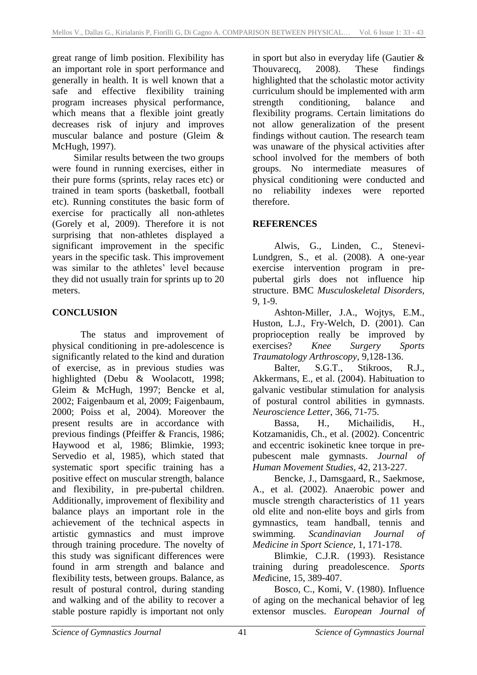great range of limb position. Flexibility has an important role in sport performance and generally in health. It is well known that a safe and effective flexibility training program increases physical performance, which means that a flexible joint greatly decreases risk of injury and improves muscular balance and posture (Gleim & McHugh, 1997).

Similar results between the two groups were found in running exercises, either in their pure forms (sprints, relay races etc) or trained in team sports (basketball, football etc). Running constitutes the basic form of exercise for practically all non-athletes (Gorely et al, 2009). Therefore it is not surprising that non-athletes displayed a significant improvement in the specific years in the specific task. This improvement was similar to the athletes' level because they did not usually train for sprints up to 20 meters.

# **CONCLUSION**

The status and improvement of physical conditioning in pre-adolescence is significantly related to the kind and duration of exercise, as in previous studies was highlighted (Debu & Woolacott, 1998; Gleim & McHugh, 1997; Bencke et al, 2002; Faigenbaum et al, 2009; Faigenbaum, 2000; Poiss et al, 2004). Moreover the present results are in accordance with previous findings (Pfeiffer & Francis, 1986; Haywood et al, 1986; Blimkie, 1993; Servedio et al, 1985), which stated that systematic sport specific training has a positive effect on muscular strength, balance and flexibility, in pre-pubertal children. Additionally, improvement of flexibility and balance plays an important role in the achievement of the technical aspects in artistic gymnastics and must improve through training procedure. The novelty of this study was significant differences were found in arm strength and balance and flexibility tests, between groups. Balance, as result of postural control, during standing and walking and of the ability to recover a stable posture rapidly is important not only

in sport but also in everyday life (Gautier & Thouvarecq, 2008). These findings highlighted that the scholastic motor activity curriculum should be implemented with arm strength conditioning, balance and flexibility programs. Certain limitations do not allow generalization of the present findings without caution. The research team was unaware of the physical activities after school involved for the members of both groups. No intermediate measures of physical conditioning were conducted and no reliability indexes were reported therefore.

# **REFERENCES**

Alwis, G., Linden, C., Stenevi-Lundgren, S., et al. (2008). A one-year exercise intervention program in prepubertal girls does not influence hip structure. BMC *Musculoskeletal Disorders*, 9, 1-9.

Ashton-Miller, J.A., Wojtys, E.M., Huston, L.J., Fry-Welch, D. (2001). Can proprioception really be improved by exercises? *Knee Surgery Sports Traumatology Arthroscopy,* 9,128-136.

Balter, S.G.T., Stikroos, R.J., Akkermans, E., et al. (2004). Habituation to galvanic vestibular stimulation for analysis of postural control abilities in gymnasts. *Neuroscience Letter,* 366, 71-75.

Bassa, H., Michailidis, H., Kotzamanidis, Ch., et al. (2002). Concentric and eccentric isokinetic knee torque in prepubescent male gymnasts. *Journal of Human Movement Studies,* 42, 213-227.

Bencke, J., Damsgaard, R., Saekmose, A., et al. (2002). Anaerobic power and muscle strength characteristics of 11 years old elite and non-elite boys and girls from gymnastics, team handball, tennis and swimming*. Scandinavian Journal of Medicine in Sport Science,* 1, 171-178.

Blimkie, C.J.R. (1993). Resistance training during preadolescence. *Sports Med*icine, 15, 389-407.

Bosco, C., Komi, V. (1980). Influence of aging on the mechanical behavior of leg extensor muscles. *European Journal of*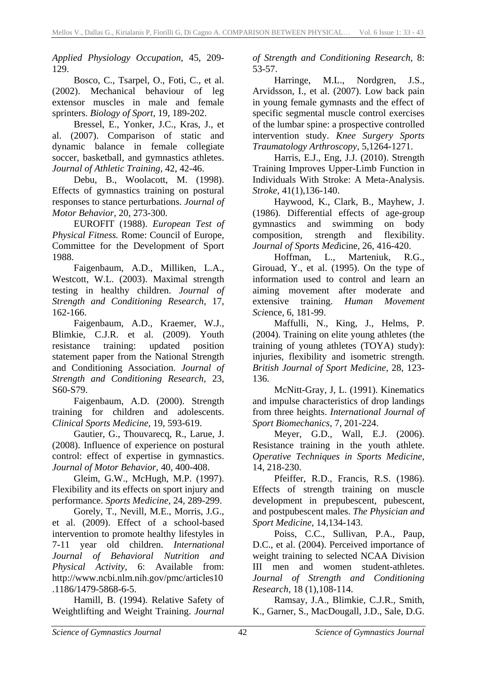*Applied Physiology Occupation,* 45, 209- 129.

Bosco, C., Tsarpel, O., Foti, C., et al. (2002). Mechanical behaviour of leg extensor muscles in male and female sprinters. *Biology of Sport,* 19, 189-202.

Bressel, E., Yonker, J.C., Kras, J., et al. (2007). Comparison of static and dynamic balance in female collegiate soccer, basketball, and gymnastics athletes. *Journal of Athletic Training,* 42, 42-46.

Debu, B., Woolacott, M. (1998). Effects of gymnastics training on postural responses to stance perturbations. *Journal of Motor Behavior,* 20, 273-300.

EUROFIT (1988). *European Test of Physical Fitness.* Rome: Council of Europe, Committee for the Development of Sport 1988.

Faigenbaum, A.D., Milliken, L.A., Westcott, W.L. (2003). Maximal strength testing in healthy children. *Journal of Strength and Conditioning Research,* 17, 162-166.

Faigenbaum, A.D., Kraemer, W.J., Blimkie, C.J.R. et al. (2009). Youth resistance training: updated position statement paper from the National Strength and Conditioning Association. *Journal of Strength and Conditioning Research,* 23, S60-S79.

[Faigenbaum, A.D.](http://www.ncbi.nlm.nih.gov/sites/entrez?Db=pubmed&Cmd=Search&Term=%22Faigenbaum%20AD%22%5BAuthor%5D&itool=EntrezSystem2.PEntrez.Pubmed.Pubmed_ResultsPanel.Pubmed_DiscoveryPanel.Pubmed_RVAbstractPlus) (2000). Strength training for children and adolescents. *[Clinical Sports Medi](javascript:AL_get(this,%20)cine,* 19, 593-619.

Gautier, G., Thouvarecq, R., Larue, J. (2008). Influence of experience on postural control: effect of expertise in gymnastics. *Journal of Motor Behavior,* 40, 400-408.

Gleim, G.W., McHugh, M.P. (1997). Flexibility and its effects on sport injury and performance. *Sports Medicine,* 24, 289-299.

Gorely, T., Nevill, M.E., Morris, J.G., et al. (2009). Effect of a school-based intervention to promote healthy lifestyles in 7-11 year old children. *International Journal of Behavioral Nutrition and Physical Activity,* 6: Available from: http://www.ncbi.nlm.nih.gov/pmc/article[s10](http://dx.doi.org/10.1186%2F1479-5868-6-5) [.1186/1479-5868-6-5.](http://dx.doi.org/10.1186%2F1479-5868-6-5)

Hamill, B. (1994). Relative Safety of Weightlifting and Weight Training. *Journal*  *of Strength and Conditioning Research,* 8: 53-57.

[Harringe, M.L.](http://www.ncbi.nlm.nih.gov/pubmed?term=Harringe%20ML%5BAuthor%5D&cauthor=true&cauthor_uid=17594077), [Nordgren, J.S.](http://www.ncbi.nlm.nih.gov/pubmed?term=Nordgren%20JS%5BAuthor%5D&cauthor=true&cauthor_uid=17594077), [Arvidsson, I.](http://www.ncbi.nlm.nih.gov/pubmed?term=Arvidsson%20I%5BAuthor%5D&cauthor=true&cauthor_uid=17594077), et al. (2007). Low back pain in young female gymnasts and the effect of specific segmental muscle control exercises of the lumbar spine: a prospective controlled intervention study. *Knee Surgery Sports Traumatology Arthroscopy,* 5,1264-1271.

Harris, E.J., Eng, J.J. (2010). Strength Training Improves Upper-Limb Function in Individuals With Stroke: A Meta-Analysis. *Stroke,* 41(1),136-140.

Haywood, K., Clark, B., Mayhew, J. (1986). Differential effects of age-group gymnastics and swimming on body composition, strength and flexibility. *Journal of Sports Med*icine, 26, 416-420.

Hoffman, L., Marteniuk, R.G., Girouad, Y., et al. (1995). On the type of information used to control and learn an aiming movement after moderate and extensive training. *Human Movement Sci*ence, 6, 181-99.

Maffulli, N., King, J., Helms, P. (2004). Training on elite young athletes (the training of young athletes (TOYA) study): injuries, flexibility and isometric strength. *British Journal of Sport Medicine,* 28, 123- 136.

McNitt-Gray, J, L. (1991). Kinematics and impulse characteristics of drop landings from three heights. *International Journal of Sport Biomechanics,* 7, 201-224.

Meyer, G.D., Wall, E.J. (2006). Resistance training in the youth athlete. *Operative Techniques in Sports Medicine,*  14, 218-230.

Pfeiffer, R.D., Francis, R.S. (1986). Effects of strength training on muscle development in prepubescent, pubescent, and postpubescent males. *The Physician and Sport Medicine,* 14,134-143.

Poiss, C.C., Sullivan, P.A., [Paup,](http://www.ncbi.nlm.nih.gov/sites/entrez?Db=pubmed&Cmd=Search&Term=%22Paup%20DC%22%5BAuthor%5D&itool=EntrezSystem2.PEntrez.Pubmed.Pubmed_ResultsPanel.Pubmed_DiscoveryPanel.Pubmed_RVAbstractPlus)  [D.C.](http://www.ncbi.nlm.nih.gov/sites/entrez?Db=pubmed&Cmd=Search&Term=%22Paup%20DC%22%5BAuthor%5D&itool=EntrezSystem2.PEntrez.Pubmed.Pubmed_ResultsPanel.Pubmed_DiscoveryPanel.Pubmed_RVAbstractPlus), [et](http://www.ncbi.nlm.nih.gov/sites/entrez?Db=pubmed&Cmd=Search&Term=%22Westerman%20BJ%22%5BAuthor%5D&itool=EntrezSystem2.PEntrez.Pubmed.Pubmed_ResultsPanel.Pubmed_DiscoveryPanel.Pubmed_RVAbstractPlus) al. (2004). Perceived importance of weight training to selected NCAA Division III men and women student-athletes. *Journal of Strength and Conditioning Research,* 18 (1),108-114.

Ramsay, J.A., Blimkie, C.J.R., Smith, K., Garner, S., MacDougall, J.D., Sale, D.G.